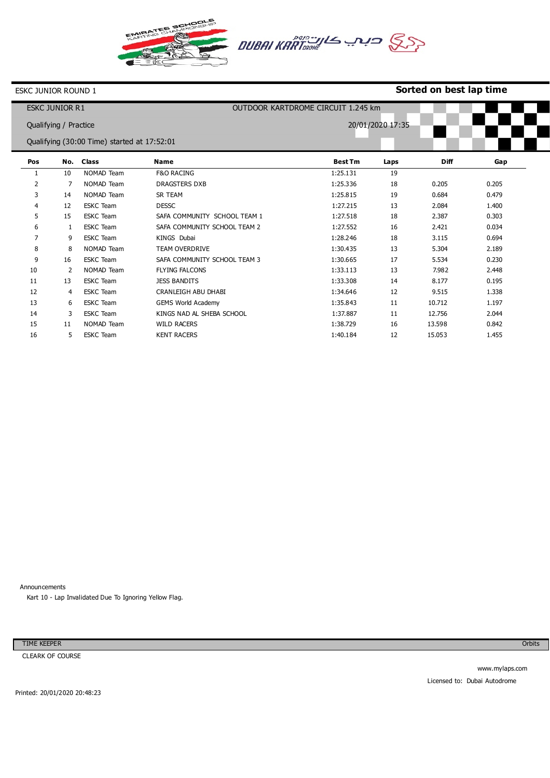

#### **Sorted on best lap time**

|                                             | <b>ESKC JUNIOR R1</b> |                  |                              | OUTDOOR KARTDROME CIRCUIT 1.245 km |                  |             |       |  |  |
|---------------------------------------------|-----------------------|------------------|------------------------------|------------------------------------|------------------|-------------|-------|--|--|
|                                             | Qualifying / Practice |                  |                              |                                    | 20/01/2020 17:35 |             |       |  |  |
| Qualifying (30:00 Time) started at 17:52:01 |                       |                  |                              |                                    |                  |             |       |  |  |
|                                             |                       |                  |                              |                                    |                  |             |       |  |  |
| Pos                                         | No.                   | <b>Class</b>     | <b>Name</b>                  | <b>Best Tm</b>                     | Laps             | <b>Diff</b> | Gap   |  |  |
| 1                                           | 10                    | NOMAD Team       | <b>F&amp;O RACING</b>        | 1:25.131                           | 19               |             |       |  |  |
| 2                                           | 7                     | NOMAD Team       | <b>DRAGSTERS DXB</b>         | 1:25.336                           | 18               | 0.205       | 0.205 |  |  |
| 3                                           | 14                    | NOMAD Team       | SR TEAM                      | 1:25.815                           | 19               | 0.684       | 0.479 |  |  |
| $\overline{4}$                              | 12                    | <b>ESKC</b> Team | <b>DESSC</b>                 | 1:27.215                           | 13               | 2.084       | 1.400 |  |  |
| 5                                           | 15                    | <b>ESKC</b> Team | SAFA COMMUNITY SCHOOL TEAM 1 | 1:27.518                           | 18               | 2.387       | 0.303 |  |  |
| 6                                           | 1                     | <b>ESKC</b> Team | SAFA COMMUNITY SCHOOL TEAM 2 | 1:27.552                           | 16               | 2.421       | 0.034 |  |  |
| $\overline{7}$                              | 9                     | <b>ESKC</b> Team | <b>KINGS Dubai</b>           | 1:28.246                           | 18               | 3.115       | 0.694 |  |  |
| 8                                           | 8                     | NOMAD Team       | <b>TEAM OVERDRIVE</b>        | 1:30.435                           | 13               | 5.304       | 2.189 |  |  |
| 9                                           | 16                    | <b>ESKC</b> Team | SAFA COMMUNITY SCHOOL TEAM 3 | 1:30.665                           | 17               | 5.534       | 0.230 |  |  |
| 10                                          | 2                     | NOMAD Team       | <b>FLYING FALCONS</b>        | 1:33.113                           | 13               | 7.982       | 2.448 |  |  |
| 11                                          | 13                    | <b>ESKC</b> Team | <b>JESS BANDITS</b>          | 1:33.308                           | 14               | 8.177       | 0.195 |  |  |
| 12                                          | 4                     | <b>ESKC</b> Team | CRANLEIGH ABU DHABI          | 1:34.646                           | 12               | 9.515       | 1.338 |  |  |
| 13                                          | 6                     | <b>ESKC</b> Team | <b>GEMS World Academy</b>    | 1:35.843                           | 11               | 10.712      | 1.197 |  |  |
| 14                                          | 3                     | <b>ESKC</b> Team | KINGS NAD AL SHEBA SCHOOL    | 1:37.887                           | 11               | 12.756      | 2.044 |  |  |
| 15                                          | 11                    | NOMAD Team       | <b>WILD RACERS</b>           | 1:38.729                           | 16               | 13.598      | 0.842 |  |  |
| 16                                          | 5                     | <b>ESKC</b> Team | <b>KENT RACERS</b>           | 1:40.184                           | 12               | 15.053      | 1.455 |  |  |

Announcements

Kart 10 - Lap Invalidated Due To Ignoring Yellow Flag.

TIME KEEPER

CLEARK OF COURSE

Orbits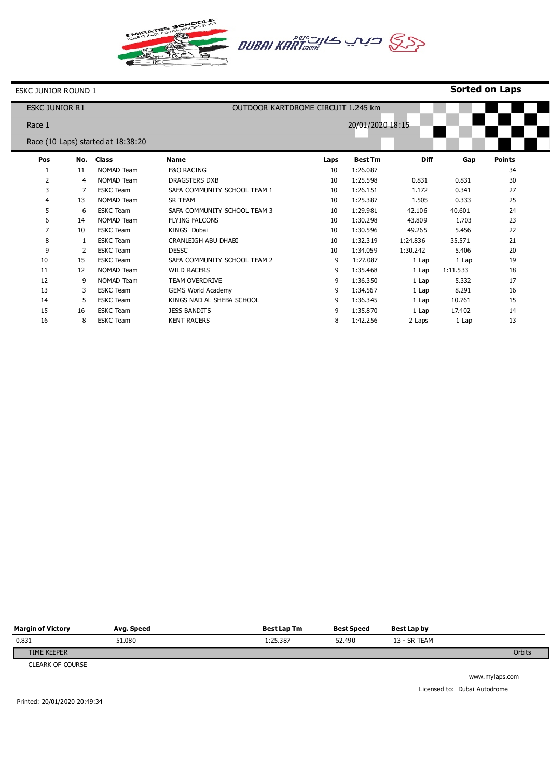



## **Sorted on Laps**

| <b>ESKC JUNIOR R1</b> |     |                                    | OUTDOOR KARTDROME CIRCUIT 1.245 km |      |                  |             |          |               |  |  |
|-----------------------|-----|------------------------------------|------------------------------------|------|------------------|-------------|----------|---------------|--|--|
| Race 1                |     |                                    |                                    |      | 20/01/2020 18:15 |             |          |               |  |  |
|                       |     | Race (10 Laps) started at 18:38:20 |                                    |      |                  |             |          |               |  |  |
| Pos                   | No. | <b>Class</b>                       | <b>Name</b>                        | Laps | <b>Best Tm</b>   | <b>Diff</b> | Gap      | <b>Points</b> |  |  |
|                       | 11  | NOMAD Team                         | <b>F&amp;O RACING</b>              | 10   | 1:26.087         |             |          | 34            |  |  |
| 2                     | 4   | NOMAD Team                         | DRAGSTERS DXB                      | 10   | 1:25.598         | 0.831       | 0.831    | 30            |  |  |
| 3                     |     | <b>ESKC</b> Team                   | SAFA COMMUNITY SCHOOL TEAM 1       | 10   | 1:26.151         | 1.172       | 0.341    | 27            |  |  |
| 4                     | 13  | NOMAD Team                         | SR TEAM                            | 10   | 1:25.387         | 1.505       | 0.333    | 25            |  |  |
| 5                     | 6   | <b>ESKC Team</b>                   | SAFA COMMUNITY SCHOOL TEAM 3       | 10   | 1:29.981         | 42.106      | 40.601   | 24            |  |  |
| 6                     | 14  | NOMAD Team                         | <b>FLYING FALCONS</b>              | 10   | 1:30.298         | 43.809      | 1.703    | 23            |  |  |
| $\overline{7}$        | 10  | <b>ESKC Team</b>                   | KINGS Dubai                        | 10   | 1:30.596         | 49.265      | 5.456    | 22            |  |  |
| 8                     |     | <b>ESKC</b> Team                   | <b>CRANLEIGH ABU DHABI</b>         | 10   | 1:32.319         | 1:24.836    | 35.571   | 21            |  |  |
| 9                     | 2   | <b>ESKC</b> Team                   | <b>DESSC</b>                       | 10   | 1:34.059         | 1:30.242    | 5.406    | 20            |  |  |
| 10                    | 15  | <b>ESKC Team</b>                   | SAFA COMMUNITY SCHOOL TEAM 2       | 9    | 1:27.087         | 1 Lap       | 1 Lap    | 19            |  |  |
| 11                    | 12  | NOMAD Team                         | <b>WILD RACERS</b>                 | 9    | 1:35.468         | 1 Lap       | 1:11.533 | 18            |  |  |
| 12                    | 9   | NOMAD Team                         | <b>TEAM OVERDRIVE</b>              | 9    | 1:36.350         | 1 Lap       | 5.332    | 17            |  |  |
| 13                    | 3   | <b>ESKC</b> Team                   | <b>GEMS World Academy</b>          | 9    | 1:34.567         | 1 Lap       | 8.291    | 16            |  |  |
| 14                    | 5   | <b>ESKC</b> Team                   | KINGS NAD AL SHEBA SCHOOL          | 9    | 1:36.345         | 1 Lap       | 10.761   | 15            |  |  |
| 15                    | 16  | <b>ESKC</b> Team                   | <b>JESS BANDITS</b>                | 9    | 1:35.870         | 1 Lap       | 17.402   | 14            |  |  |
| 16                    | 8   | <b>ESKC</b> Team                   | <b>KENT RACERS</b>                 | 8    | 1:42.256         | 2 Laps      | 1 Lap    | 13            |  |  |

| <b>Margin of Victory</b> | Avg. Speed | Best Lap Tm | Best Speed | Best Lap by  |        |
|--------------------------|------------|-------------|------------|--------------|--------|
| 0.831                    | 51.080     | 1:25.387    | 52.490     | 13 - SR TEAM |        |
| TIME KEEPER              |            |             |            |              | Orbits |

CLEARK OF COURSE

www.mylaps.com Licensed to: Dubai Autodrome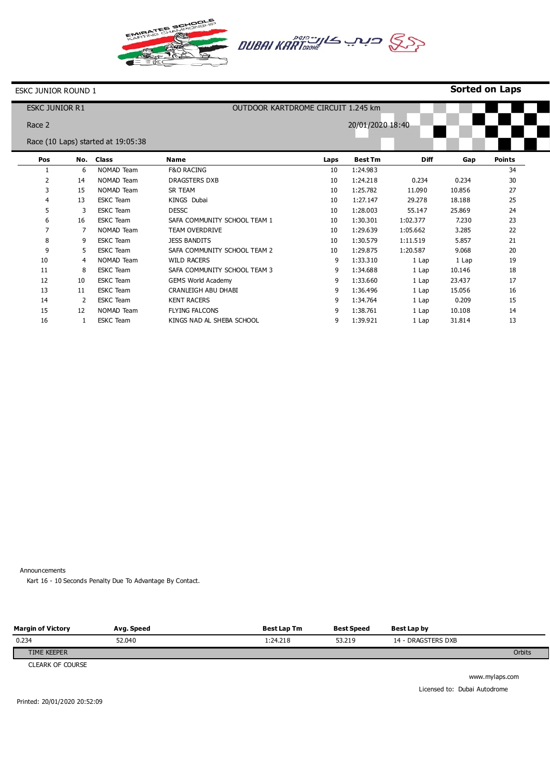



### **Sorted on Laps**

| <b>ESKC JUNIOR R1</b> |     |                                    | OUTDOOR KARTDROME CIRCUIT 1.245 km |                  |                |             |        |               |  |  |  |
|-----------------------|-----|------------------------------------|------------------------------------|------------------|----------------|-------------|--------|---------------|--|--|--|
| Race 2                |     |                                    |                                    | 20/01/2020 18:40 |                |             |        |               |  |  |  |
|                       |     | Race (10 Laps) started at 19:05:38 |                                    |                  |                |             |        |               |  |  |  |
| Pos                   | No. | <b>Class</b>                       | <b>Name</b>                        | Laps             | <b>Best Tm</b> | <b>Diff</b> | Gap    | <b>Points</b> |  |  |  |
|                       | 6   | NOMAD Team                         | <b>F&amp;O RACING</b>              | 10               | 1:24.983       |             |        | 34            |  |  |  |
| 2                     | 14  | NOMAD Team                         | <b>DRAGSTERS DXB</b>               | 10               | 1:24.218       | 0.234       | 0.234  | 30            |  |  |  |
| 3                     | 15  | NOMAD Team                         | SR TEAM                            | 10               | 1:25.782       | 11.090      | 10.856 | 27            |  |  |  |
| 4                     | 13  | <b>ESKC</b> Team                   | KINGS Dubai                        | 10               | 1:27.147       | 29.278      | 18.188 | 25            |  |  |  |
| 5                     | 3   | <b>ESKC</b> Team                   | <b>DESSC</b>                       | 10               | 1:28.003       | 55.147      | 25.869 | 24            |  |  |  |
| 6                     | 16  | <b>ESKC</b> Team                   | SAFA COMMUNITY SCHOOL TEAM 1       | 10               | 1:30.301       | 1:02.377    | 7.230  | 23            |  |  |  |
| 7                     |     | NOMAD Team                         | <b>TEAM OVERDRIVE</b>              | 10               | 1:29.639       | 1:05.662    | 3.285  | 22            |  |  |  |
| 8                     | 9   | <b>ESKC</b> Team                   | <b>JESS BANDITS</b>                | 10               | 1:30.579       | 1:11.519    | 5.857  | 21            |  |  |  |
| 9                     | 5   | <b>ESKC</b> Team                   | SAFA COMMUNITY SCHOOL TEAM 2       | 10               | 1:29.875       | 1:20.587    | 9.068  | 20            |  |  |  |
| 10                    | 4   | NOMAD Team                         | <b>WILD RACERS</b>                 | 9                | 1:33.310       | 1 Lap       | 1 Lap  | 19            |  |  |  |
| 11                    | 8   | <b>ESKC</b> Team                   | SAFA COMMUNITY SCHOOL TEAM 3       | 9                | 1:34.688       | 1 Lap       | 10.146 | 18            |  |  |  |
| 12                    | 10  | <b>ESKC Team</b>                   | <b>GEMS World Academy</b>          | 9                | 1:33.660       | 1 Lap       | 23.437 | 17            |  |  |  |
| 13                    | 11  | <b>ESKC Team</b>                   | CRANLEIGH ABU DHABI                | 9                | 1:36.496       | 1 Lap       | 15.056 | 16            |  |  |  |
| 14                    | 2   | <b>ESKC</b> Team                   | <b>KENT RACERS</b>                 | 9                | 1:34.764       | 1 Lap       | 0.209  | 15            |  |  |  |
| 15                    | 12  | NOMAD Team                         | <b>FLYING FALCONS</b>              | 9                | 1:38.761       | 1 Lap       | 10.108 | 14            |  |  |  |
| 16                    |     | <b>ESKC</b> Team                   | KINGS NAD AL SHEBA SCHOOL          | 9                | 1:39.921       | 1 Lap       | 31.814 | 13            |  |  |  |

Announcements

Kart 16 - 10 Seconds Penalty Due To Advantage By Contact.

| <b>Margin of Victory</b> | Avg. Speed | <b>Best Lap Tm</b> | <b>Best Speed</b> | Best Lap by        |        |
|--------------------------|------------|--------------------|-------------------|--------------------|--------|
| 0.234                    | 52.040     | 1:24.218           | 53.219            | 14 - DRAGSTERS DXB |        |
| TIME KEEPER              |            |                    |                   |                    | Orbits |
|                          |            |                    |                   |                    |        |

CLEARK OF COURSE

www.mylaps.com Licensed to: Dubai Autodrome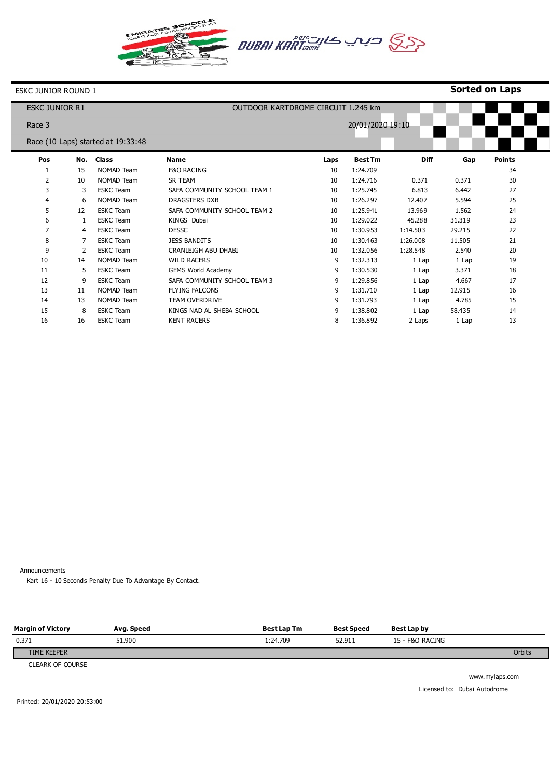



### **Sorted on Laps**

| <b>ESKC JUNIOR R1</b> |     |                                    | OUTDOOR KARTDROME CIRCUIT 1.245 km |      |                  |             |        |               |  |
|-----------------------|-----|------------------------------------|------------------------------------|------|------------------|-------------|--------|---------------|--|
| Race 3                |     |                                    |                                    |      | 20/01/2020 19:10 |             |        |               |  |
|                       |     | Race (10 Laps) started at 19:33:48 |                                    |      |                  |             |        |               |  |
| Pos                   | No. | <b>Class</b>                       | <b>Name</b>                        | Laps | <b>Best Tm</b>   | <b>Diff</b> | Gap    | <b>Points</b> |  |
| 1                     | 15  | NOMAD Team                         | <b>F&amp;O RACING</b>              | 10   | 1:24.709         |             |        | 34            |  |
| 2                     | 10  | NOMAD Team                         | SR TEAM                            | 10   | 1:24.716         | 0.371       | 0.371  | 30            |  |
| 3                     | 3   | <b>ESKC</b> Team                   | SAFA COMMUNITY SCHOOL TEAM 1       | 10   | 1:25.745         | 6.813       | 6.442  | 27            |  |
| $\overline{4}$        | 6   | NOMAD Team                         | <b>DRAGSTERS DXB</b>               | 10   | 1:26.297         | 12.407      | 5.594  | 25            |  |
| 5                     | 12  | <b>ESKC</b> Team                   | SAFA COMMUNITY SCHOOL TEAM 2       | 10   | 1:25.941         | 13.969      | 1.562  | 24            |  |
| 6                     |     | <b>ESKC</b> Team                   | KINGS Dubai                        | 10   | 1:29.022         | 45.288      | 31.319 | 23            |  |
| 7                     | 4   | <b>ESKC</b> Team                   | <b>DESSC</b>                       | 10   | 1:30.953         | 1:14.503    | 29.215 | 22            |  |
| 8                     |     | <b>ESKC</b> Team                   | <b>JESS BANDITS</b>                | 10   | 1:30.463         | 1:26.008    | 11.505 | 21            |  |
| 9                     | 2   | <b>ESKC</b> Team                   | CRANLEIGH ABU DHABI                | 10   | 1:32.056         | 1:28.548    | 2.540  | 20            |  |
| 10                    | 14  | NOMAD Team                         | <b>WILD RACERS</b>                 | 9    | 1:32.313         | 1 Lap       | 1 Lap  | 19            |  |
| 11                    | 5   | <b>ESKC</b> Team                   | <b>GEMS World Academy</b>          | 9    | 1:30.530         | 1 Lap       | 3.371  | 18            |  |
| 12                    | 9   | <b>ESKC</b> Team                   | SAFA COMMUNITY SCHOOL TEAM 3       | 9    | 1:29.856         | 1 Lap       | 4.667  | 17            |  |
| 13                    | 11  | NOMAD Team                         | <b>FLYING FALCONS</b>              | 9    | 1:31.710         | 1 Lap       | 12.915 | 16            |  |
| 14                    | 13  | NOMAD Team                         | TEAM OVERDRIVE                     | 9    | 1:31.793         | 1 Lap       | 4.785  | 15            |  |
| 15                    | 8   | <b>ESKC Team</b>                   | KINGS NAD AL SHEBA SCHOOL          | 9    | 1:38.802         | 1 Lap       | 58.435 | 14            |  |
| 16                    | 16  | <b>ESKC</b> Team                   | <b>KENT RACERS</b>                 | 8    | 1:36.892         | 2 Laps      | 1 Lap  | 13            |  |

Announcements

Kart 16 - 10 Seconds Penalty Due To Advantage By Contact.

| <b>Margin of Victory</b> | Avg. Speed | <b>Best Lap Tm</b> | <b>Best Speed</b> | Best Lap by     |               |
|--------------------------|------------|--------------------|-------------------|-----------------|---------------|
| 0.371                    | 51.900     | 1:24.709           | 52.911            | 15 - F&O RACING |               |
| TIME KEEPER              |            |                    |                   |                 | <b>Orbits</b> |
|                          |            |                    |                   |                 |               |

CLEARK OF COURSE

www.mylaps.com Licensed to: Dubai Autodrome